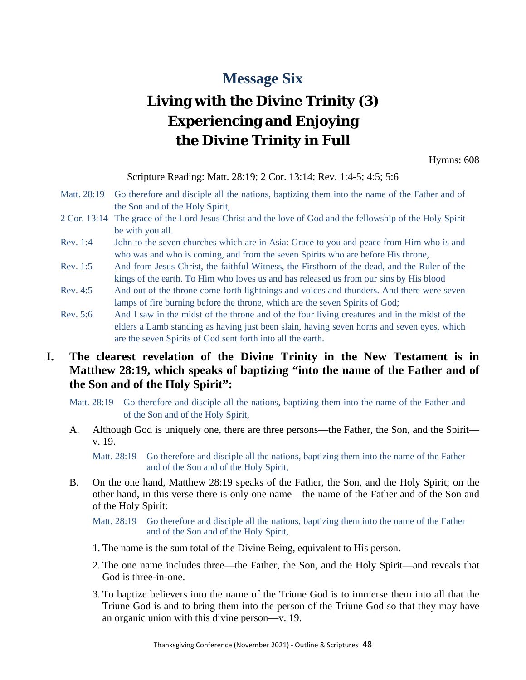## **Message Six**

## **Living with the Divine Trinity (3) Experiencing and Enjoying the Divine Trinity in Full**

Hymns: 608

Scripture Reading: Matt. 28:19; 2 Cor. 13:14; Rev. 1:4-5; 4:5; 5:6

- Matt. 28:19 Go therefore and disciple all the nations, baptizing them into the name of the Father and of the Son and of the Holy Spirit,
- 2 Cor. 13:14 The grace of the Lord Jesus Christ and the love of God and the fellowship of the Holy Spirit be with you all.
- Rev. 1:4 John to the seven churches which are in Asia: Grace to you and peace from Him who is and who was and who is coming, and from the seven Spirits who are before His throne,
- Rev. 1:5 And from Jesus Christ, the faithful Witness, the Firstborn of the dead, and the Ruler of the kings of the earth. To Him who loves us and has released us from our sins by His blood
- Rev. 4:5 And out of the throne come forth lightnings and voices and thunders. And there were seven lamps of fire burning before the throne, which are the seven Spirits of God;
- Rev. 5:6 And I saw in the midst of the throne and of the four living creatures and in the midst of the elders a Lamb standing as having just been slain, having seven horns and seven eyes, which are the seven Spirits of God sent forth into all the earth.

## **I. The clearest revelation of the Divine Trinity in the New Testament is in Matthew 28:19, which speaks of baptizing "into the name of the Father and of the Son and of the Holy Spirit":**

- Matt. 28:19 Go therefore and disciple all the nations, baptizing them into the name of the Father and of the Son and of the Holy Spirit,
- A. Although God is uniquely one, there are three persons—the Father, the Son, and the Spirit v. 19.

Matt. 28:19 Go therefore and disciple all the nations, baptizing them into the name of the Father and of the Son and of the Holy Spirit,

B. On the one hand, Matthew 28:19 speaks of the Father, the Son, and the Holy Spirit; on the other hand, in this verse there is only one name—the name of the Father and of the Son and of the Holy Spirit:

Matt. 28:19 Go therefore and disciple all the nations, baptizing them into the name of the Father and of the Son and of the Holy Spirit,

- 1. The name is the sum total of the Divine Being, equivalent to His person.
- 2. The one name includes three—the Father, the Son, and the Holy Spirit—and reveals that God is three-in-one.
- 3. To baptize believers into the name of the Triune God is to immerse them into all that the Triune God is and to bring them into the person of the Triune God so that they may have an organic union with this divine person—v. 19.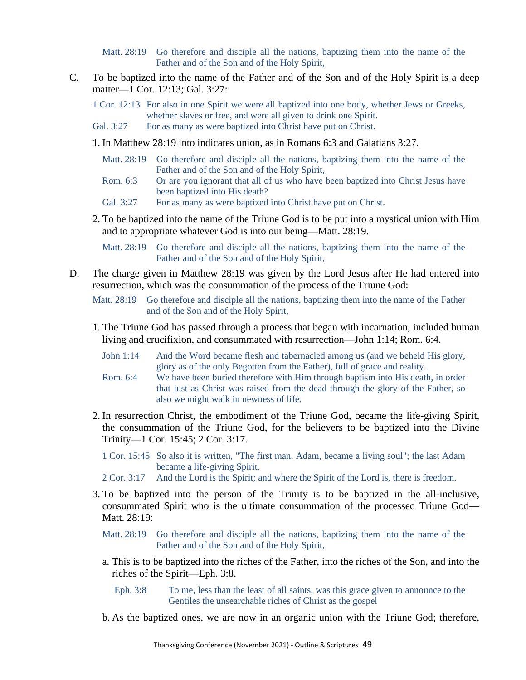Matt. 28:19 Go therefore and disciple all the nations, baptizing them into the name of the Father and of the Son and of the Holy Spirit,

C. To be baptized into the name of the Father and of the Son and of the Holy Spirit is a deep matter—1 Cor. 12:13; Gal. 3:27:

1 Cor. 12:13 For also in one Spirit we were all baptized into one body, whether Jews or Greeks, whether slaves or free, and were all given to drink one Spirit.

- Gal. 3:27 For as many as were baptized into Christ have put on Christ.
- 1. In Matthew 28:19 into indicates union, as in Romans 6:3 and Galatians 3:27.
	- Matt. 28:19 Go therefore and disciple all the nations, baptizing them into the name of the Father and of the Son and of the Holy Spirit,
	- Rom. 6:3 Or are you ignorant that all of us who have been baptized into Christ Jesus have been baptized into His death?
	- Gal. 3:27 For as many as were baptized into Christ have put on Christ.
- 2. To be baptized into the name of the Triune God is to be put into a mystical union with Him and to appropriate whatever God is into our being—Matt. 28:19.

Matt. 28:19 Go therefore and disciple all the nations, baptizing them into the name of the Father and of the Son and of the Holy Spirit,

D. The charge given in Matthew 28:19 was given by the Lord Jesus after He had entered into resurrection, which was the consummation of the process of the Triune God:

Matt. 28:19 Go therefore and disciple all the nations, baptizing them into the name of the Father and of the Son and of the Holy Spirit,

- 1. The Triune God has passed through a process that began with incarnation, included human living and crucifixion, and consummated with resurrection—John 1:14; Rom. 6:4.
	- John 1:14 And the Word became flesh and tabernacled among us (and we beheld His glory, glory as of the only Begotten from the Father), full of grace and reality.
	- Rom. 6:4 We have been buried therefore with Him through baptism into His death, in order that just as Christ was raised from the dead through the glory of the Father, so also we might walk in newness of life.
- 2. In resurrection Christ, the embodiment of the Triune God, became the life-giving Spirit, the consummation of the Triune God, for the believers to be baptized into the Divine Trinity—1 Cor. 15:45; 2 Cor. 3:17.
	- 1 Cor. 15:45 So also it is written, "The first man, Adam, became a living soul"; the last Adam became a life-giving Spirit.
	- 2 Cor. 3:17 And the Lord is the Spirit; and where the Spirit of the Lord is, there is freedom.
- 3. To be baptized into the person of the Trinity is to be baptized in the all-inclusive, consummated Spirit who is the ultimate consummation of the processed Triune God— Matt. 28:19:
	- Matt. 28:19 Go therefore and disciple all the nations, baptizing them into the name of the Father and of the Son and of the Holy Spirit,
	- a. This is to be baptized into the riches of the Father, into the riches of the Son, and into the riches of the Spirit—Eph. 3:8.
		- Eph. 3:8 To me, less than the least of all saints, was this grace given to announce to the Gentiles the unsearchable riches of Christ as the gospel
	- b. As the baptized ones, we are now in an organic union with the Triune God; therefore,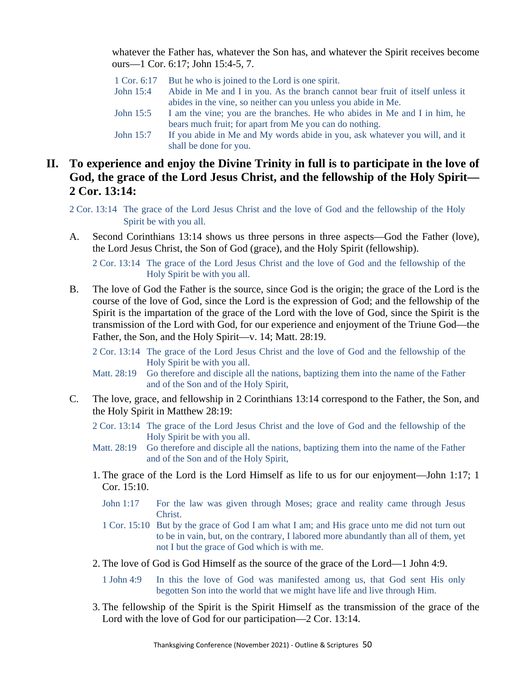whatever the Father has, whatever the Son has, and whatever the Spirit receives become ours—1 Cor. 6:17; John 15:4-5, 7.

| 1 Cor. 6:17 | But he who is joined to the Lord is one spirit.                               |
|-------------|-------------------------------------------------------------------------------|
| John 15:4   | Abide in Me and I in you. As the branch cannot bear fruit of itself unless it |
|             | abides in the vine, so neither can you unless you abide in Me.                |
| John 15:5   | I am the vine; you are the branches. He who abides in Me and I in him, he     |
|             | bears much fruit; for apart from Me you can do nothing.                       |
| John 15:7   | If you abide in Me and My words abide in you, ask whatever you will, and it   |
|             | shall be done for you.                                                        |

## **II. To experience and enjoy the Divine Trinity in full is to participate in the love of God, the grace of the Lord Jesus Christ, and the fellowship of the Holy Spirit— 2 Cor. 13:14:**

- 2 Cor. 13:14 The grace of the Lord Jesus Christ and the love of God and the fellowship of the Holy Spirit be with you all.
- A. Second Corinthians 13:14 shows us three persons in three aspects—God the Father (love), the Lord Jesus Christ, the Son of God (grace), and the Holy Spirit (fellowship).

2 Cor. 13:14 The grace of the Lord Jesus Christ and the love of God and the fellowship of the Holy Spirit be with you all.

- B. The love of God the Father is the source, since God is the origin; the grace of the Lord is the course of the love of God, since the Lord is the expression of God; and the fellowship of the Spirit is the impartation of the grace of the Lord with the love of God, since the Spirit is the transmission of the Lord with God, for our experience and enjoyment of the Triune God—the Father, the Son, and the Holy Spirit—v. 14; Matt. 28:19.
	- 2 Cor. 13:14 The grace of the Lord Jesus Christ and the love of God and the fellowship of the Holy Spirit be with you all.
	- Matt. 28:19 Go therefore and disciple all the nations, baptizing them into the name of the Father and of the Son and of the Holy Spirit,
- C. The love, grace, and fellowship in 2 Corinthians 13:14 correspond to the Father, the Son, and the Holy Spirit in Matthew 28:19:
	- 2 Cor. 13:14 The grace of the Lord Jesus Christ and the love of God and the fellowship of the Holy Spirit be with you all.
	- Matt. 28:19 Go therefore and disciple all the nations, baptizing them into the name of the Father and of the Son and of the Holy Spirit,
	- 1. The grace of the Lord is the Lord Himself as life to us for our enjoyment—John 1:17; 1 Cor. 15:10.
		- John 1:17 For the law was given through Moses; grace and reality came through Jesus Christ.
		- 1 Cor. 15:10 But by the grace of God I am what I am; and His grace unto me did not turn out to be in vain, but, on the contrary, I labored more abundantly than all of them, yet not I but the grace of God which is with me.
	- 2. The love of God is God Himself as the source of the grace of the Lord—1 John 4:9.

1 John 4:9 In this the love of God was manifested among us, that God sent His only begotten Son into the world that we might have life and live through Him.

3. The fellowship of the Spirit is the Spirit Himself as the transmission of the grace of the Lord with the love of God for our participation—2 Cor. 13:14.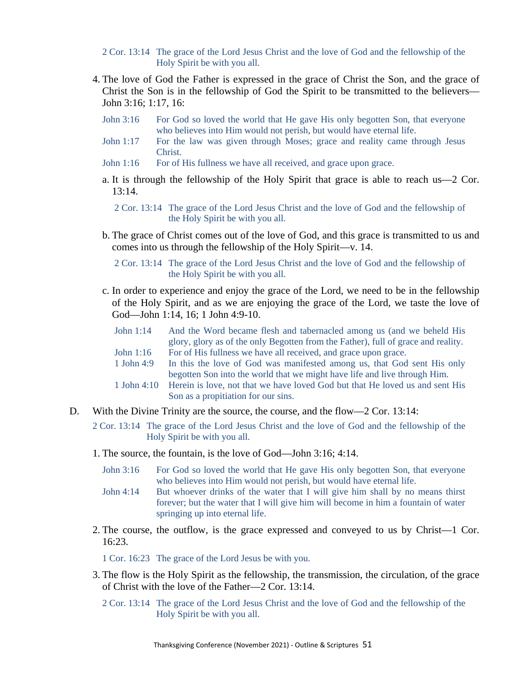- 2 Cor. 13:14 The grace of the Lord Jesus Christ and the love of God and the fellowship of the Holy Spirit be with you all.
- 4. The love of God the Father is expressed in the grace of Christ the Son, and the grace of Christ the Son is in the fellowship of God the Spirit to be transmitted to the believers— John 3:16; 1:17, 16:
	- John 3:16 For God so loved the world that He gave His only begotten Son, that everyone who believes into Him would not perish, but would have eternal life.
	- John 1:17 For the law was given through Moses; grace and reality came through Jesus Christ.
	- John 1:16 For of His fullness we have all received, and grace upon grace.
	- a. It is through the fellowship of the Holy Spirit that grace is able to reach us—2 Cor. 13:14.
		- 2 Cor. 13:14 The grace of the Lord Jesus Christ and the love of God and the fellowship of the Holy Spirit be with you all.
	- b. The grace of Christ comes out of the love of God, and this grace is transmitted to us and comes into us through the fellowship of the Holy Spirit—v. 14.

2 Cor. 13:14 The grace of the Lord Jesus Christ and the love of God and the fellowship of the Holy Spirit be with you all.

c. In order to experience and enjoy the grace of the Lord, we need to be in the fellowship of the Holy Spirit, and as we are enjoying the grace of the Lord, we taste the love of God—John 1:14, 16; 1 John 4:9-10.

| John 1:14                                                                  | And the Word became flesh and tabernacled among us (and we beheld His<br>glory, glory as of the only Begotten from the Father), full of grace and reality. |  |
|----------------------------------------------------------------------------|------------------------------------------------------------------------------------------------------------------------------------------------------------|--|
| John 1:16                                                                  | For of His fullness we have all received, and grace upon grace.                                                                                            |  |
| 1 John $4:9$                                                               | In this the love of God was manifested among us, that God sent His only                                                                                    |  |
|                                                                            | begotten Son into the world that we might have life and live through Him.                                                                                  |  |
|                                                                            | 1 John 4:10 Herein is love, not that we have loved God but that He loved us and sent His                                                                   |  |
|                                                                            | Son as a propitiation for our sins.                                                                                                                        |  |
| the Divine Twinty are the course the course and the flow $2$ Cen $12.14$ . |                                                                                                                                                            |  |

- D. With the Divine Trinity are the source, the course, and the flow—2 Cor. 13:14:
	- 2 Cor. 13:14 The grace of the Lord Jesus Christ and the love of God and the fellowship of the Holy Spirit be with you all.
	- 1. The source, the fountain, is the love of God—John 3:16; 4:14.
		- John 3:16 For God so loved the world that He gave His only begotten Son, that everyone who believes into Him would not perish, but would have eternal life.
		- John 4:14 But whoever drinks of the water that I will give him shall by no means thirst forever; but the water that I will give him will become in him a fountain of water springing up into eternal life.
	- 2. The course, the outflow, is the grace expressed and conveyed to us by Christ—1 Cor. 16:23.

1 Cor. 16:23 The grace of the Lord Jesus be with you.

- 3. The flow is the Holy Spirit as the fellowship, the transmission, the circulation, of the grace of Christ with the love of the Father—2 Cor. 13:14.
	- 2 Cor. 13:14 The grace of the Lord Jesus Christ and the love of God and the fellowship of the Holy Spirit be with you all.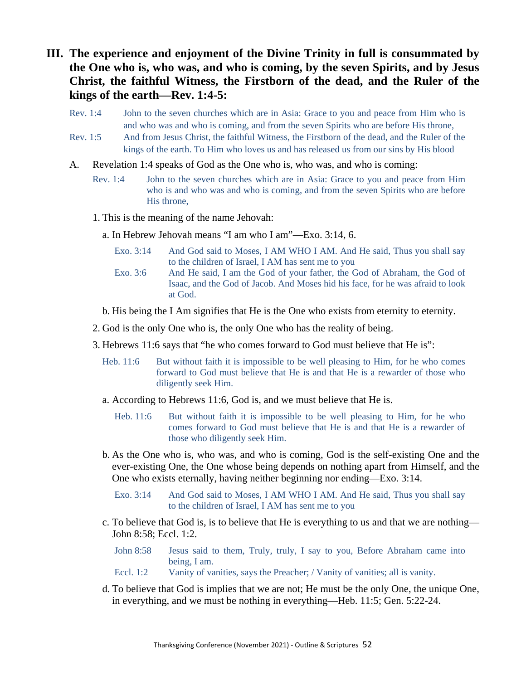- **III. The experience and enjoyment of the Divine Trinity in full is consummated by the One who is, who was, and who is coming, by the seven Spirits, and by Jesus Christ, the faithful Witness, the Firstborn of the dead, and the Ruler of the kings of the earth—Rev. 1:4-5:**
	- Rev. 1:4 John to the seven churches which are in Asia: Grace to you and peace from Him who is and who was and who is coming, and from the seven Spirits who are before His throne,
	- Rev. 1:5 And from Jesus Christ, the faithful Witness, the Firstborn of the dead, and the Ruler of the kings of the earth. To Him who loves us and has released us from our sins by His blood
	- A. Revelation 1:4 speaks of God as the One who is, who was, and who is coming:
		- Rev. 1:4 John to the seven churches which are in Asia: Grace to you and peace from Him who is and who was and who is coming, and from the seven Spirits who are before His throne,
		- 1. This is the meaning of the name Jehovah:
			- a. In Hebrew Jehovah means "I am who I am"—Exo. 3:14, 6.
				- Exo. 3:14 And God said to Moses, I AM WHO I AM. And He said, Thus you shall say to the children of Israel, I AM has sent me to you
				- Exo. 3:6 And He said, I am the God of your father, the God of Abraham, the God of Isaac, and the God of Jacob. And Moses hid his face, for he was afraid to look at God.
			- b. His being the I Am signifies that He is the One who exists from eternity to eternity.
		- 2. God is the only One who is, the only One who has the reality of being.
		- 3. Hebrews 11:6 says that "he who comes forward to God must believe that He is":
			- Heb. 11:6 But without faith it is impossible to be well pleasing to Him, for he who comes forward to God must believe that He is and that He is a rewarder of those who diligently seek Him.
			- a. According to Hebrews 11:6, God is, and we must believe that He is.
				- Heb. 11:6 But without faith it is impossible to be well pleasing to Him, for he who comes forward to God must believe that He is and that He is a rewarder of those who diligently seek Him.
			- b. As the One who is, who was, and who is coming, God is the self-existing One and the ever-existing One, the One whose being depends on nothing apart from Himself, and the One who exists eternally, having neither beginning nor ending—Exo. 3:14.
				- Exo. 3:14 And God said to Moses, I AM WHO I AM. And He said, Thus you shall say to the children of Israel, I AM has sent me to you
			- c. To believe that God is, is to believe that He is everything to us and that we are nothing— John 8:58; Eccl. 1:2.
				- John 8:58 Jesus said to them, Truly, truly, I say to you, Before Abraham came into being, I am.
				- Eccl. 1:2 Vanity of vanities, says the Preacher; / Vanity of vanities; all is vanity.
			- d. To believe that God is implies that we are not; He must be the only One, the unique One, in everything, and we must be nothing in everything—Heb. 11:5; Gen. 5:22-24.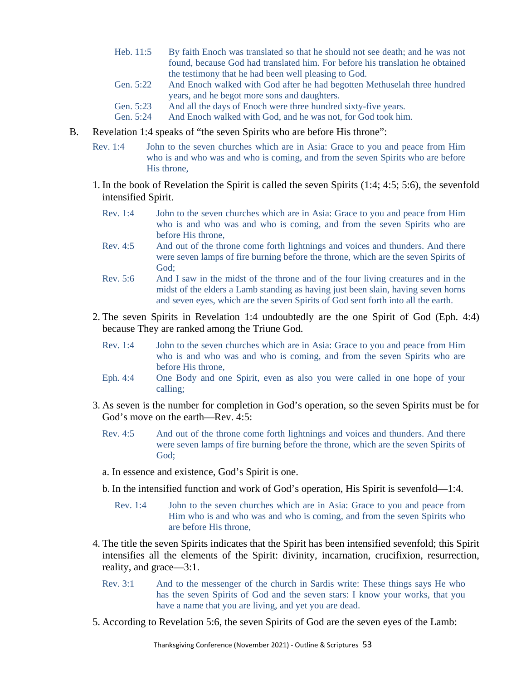- Heb. 11:5 By faith Enoch was translated so that he should not see death; and he was not found, because God had translated him. For before his translation he obtained the testimony that he had been well pleasing to God.
- Gen. 5:22 And Enoch walked with God after he had begotten Methuselah three hundred years, and he begot more sons and daughters.
- Gen. 5:23 And all the days of Enoch were three hundred sixty-five years.
- Gen. 5:24 And Enoch walked with God, and he was not, for God took him.
- B. Revelation 1:4 speaks of "the seven Spirits who are before His throne":
	- Rev. 1:4 John to the seven churches which are in Asia: Grace to you and peace from Him who is and who was and who is coming, and from the seven Spirits who are before His throne,
	- 1. In the book of Revelation the Spirit is called the seven Spirits (1:4; 4:5; 5:6), the sevenfold intensified Spirit.
		- Rev. 1:4 John to the seven churches which are in Asia: Grace to you and peace from Him who is and who was and who is coming, and from the seven Spirits who are before His throne,
		- Rev. 4:5 And out of the throne come forth lightnings and voices and thunders. And there were seven lamps of fire burning before the throne, which are the seven Spirits of God;
		- Rev. 5:6 And I saw in the midst of the throne and of the four living creatures and in the midst of the elders a Lamb standing as having just been slain, having seven horns and seven eyes, which are the seven Spirits of God sent forth into all the earth.
	- 2. The seven Spirits in Revelation 1:4 undoubtedly are the one Spirit of God (Eph. 4:4) because They are ranked among the Triune God.
		- Rev. 1:4 John to the seven churches which are in Asia: Grace to you and peace from Him who is and who was and who is coming, and from the seven Spirits who are before His throne,
		- Eph. 4:4 One Body and one Spirit, even as also you were called in one hope of your calling;
	- 3. As seven is the number for completion in God's operation, so the seven Spirits must be for God's move on the earth—Rev. 4:5:
		- Rev. 4:5 And out of the throne come forth lightnings and voices and thunders. And there were seven lamps of fire burning before the throne, which are the seven Spirits of God;
		- a. In essence and existence, God's Spirit is one.
		- b. In the intensified function and work of God's operation, His Spirit is sevenfold—1:4.
			- Rev. 1:4 John to the seven churches which are in Asia: Grace to you and peace from Him who is and who was and who is coming, and from the seven Spirits who are before His throne,
	- 4. The title the seven Spirits indicates that the Spirit has been intensified sevenfold; this Spirit intensifies all the elements of the Spirit: divinity, incarnation, crucifixion, resurrection, reality, and grace—3:1.
		- Rev. 3:1 And to the messenger of the church in Sardis write: These things says He who has the seven Spirits of God and the seven stars: I know your works, that you have a name that you are living, and yet you are dead.
	- 5. According to Revelation 5:6, the seven Spirits of God are the seven eyes of the Lamb: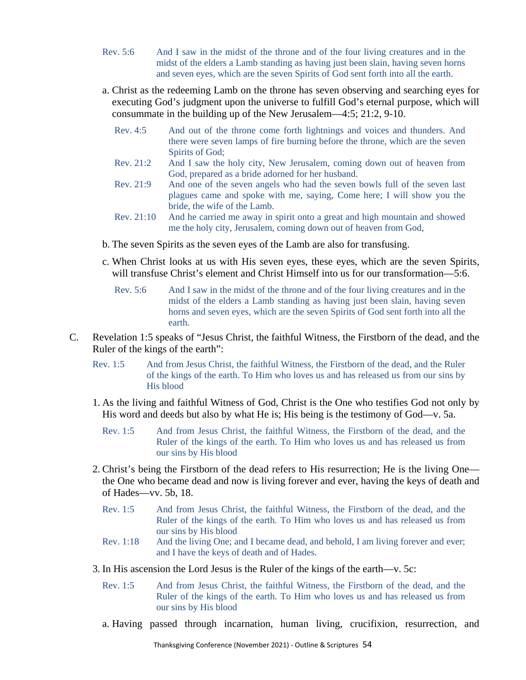- Rev. 5:6 And I saw in the midst of the throne and of the four living creatures and in the midst of the elders a Lamb standing as having just been slain, having seven horns and seven eyes, which are the seven Spirits of God sent forth into all the earth.
- a. Christ as the redeeming Lamb on the throne has seven observing and searching eyes for executing God's judgment upon the universe to fulfill God's eternal purpose, which will consummate in the building up of the New Jerusalem—4:5; 21:2, 9-10.
	- Rev. 4:5 And out of the throne come forth lightnings and voices and thunders. And there were seven lamps of fire burning before the throne, which are the seven Spirits of God;
	- Rev. 21:2 And I saw the holy city, New Jerusalem, coming down out of heaven from God, prepared as a bride adorned for her husband.
	- Rev. 21:9 And one of the seven angels who had the seven bowls full of the seven last plagues came and spoke with me, saying, Come here; I will show you the bride, the wife of the Lamb.
	- Rev. 21:10 And he carried me away in spirit onto a great and high mountain and showed me the holy city, Jerusalem, coming down out of heaven from God,
- b. The seven Spirits as the seven eyes of the Lamb are also for transfusing.
- c. When Christ looks at us with His seven eyes, these eyes, which are the seven Spirits, will transfuse Christ's element and Christ Himself into us for our transformation—5:6.
	- Rev. 5:6 And I saw in the midst of the throne and of the four living creatures and in the midst of the elders a Lamb standing as having just been slain, having seven horns and seven eyes, which are the seven Spirits of God sent forth into all the earth.
- C. Revelation 1:5 speaks of "Jesus Christ, the faithful Witness, the Firstborn of the dead, and the Ruler of the kings of the earth":
	- Rev. 1:5 And from Jesus Christ, the faithful Witness, the Firstborn of the dead, and the Ruler of the kings of the earth. To Him who loves us and has released us from our sins by His blood
	- 1. As the living and faithful Witness of God, Christ is the One who testifies God not only by His word and deeds but also by what He is; His being is the testimony of God—v. 5a.
		- Rev. 1:5 And from Jesus Christ, the faithful Witness, the Firstborn of the dead, and the Ruler of the kings of the earth. To Him who loves us and has released us from our sins by His blood
	- 2. Christ's being the Firstborn of the dead refers to His resurrection; He is the living One the One who became dead and now is living forever and ever, having the keys of death and of Hades—vv. 5b, 18.
		- Rev. 1:5 And from Jesus Christ, the faithful Witness, the Firstborn of the dead, and the Ruler of the kings of the earth. To Him who loves us and has released us from our sins by His blood
		- Rev. 1:18 And the living One; and I became dead, and behold, I am living forever and ever; and I have the keys of death and of Hades.
	- 3. In His ascension the Lord Jesus is the Ruler of the kings of the earth—v. 5c:
		- Rev. 1:5 And from Jesus Christ, the faithful Witness, the Firstborn of the dead, and the Ruler of the kings of the earth. To Him who loves us and has released us from our sins by His blood
		- a. Having passed through incarnation, human living, crucifixion, resurrection, and